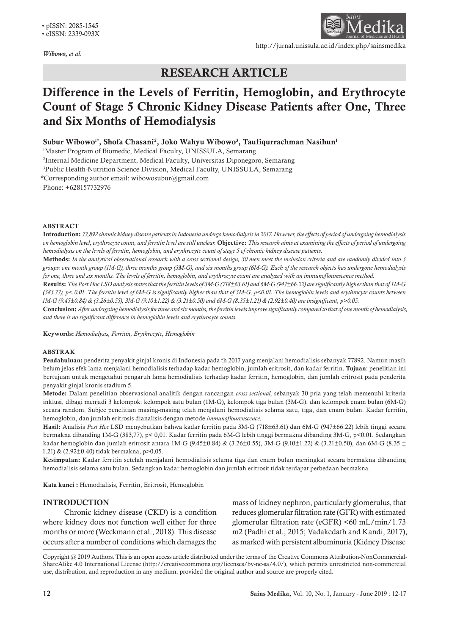*Wibowo, et al.*



http://jurnal.unissula.ac.id/index.php/sainsmedika

# RESEARCH ARTICLE

# Difference in the Levels of Ferritin, Hemoglobin, and Erythrocyte Count of Stage 5 Chronic Kidney Disease Patients after One, Three and Six Months of Hemodialysis

Subur Wibowo<sup>i</sup>\*, Shofa Chasani<sup>2</sup>, Joko Wahyu Wibowo<sup>3</sup>, Taufiqurrachman Nasihun<sup>i</sup>

<sup>1</sup>Master Program of Biomedic, Medical Faculty, UNISSULA, Semarang

2 Internal Medicine Department, Medical Faculty, Universitas Diponegoro, Semarang

3 Public Health-Nutrition Science Division, Medical Faculty, UNISSULA, Semarang

\*Corresponding author email: wibowosubur@gmail.com Phone: +628157732976

#### ABSTRACT

Introduction: *77,892 chronic kidney disease patients in Indonesia undergo hemodialysis in 2017. However, the effects of period of undergoing hemodialysis on hemoglobin level, erythrocyte count, and ferritin level are still unclear.* Objective: *This research aims at examining the effects of period of undergoing hemodialysis on the levels of ferritin, hemoglobin, and erythrocyte count of stage 5 of chronic kidney disease patients.*

Methods: *In the analytical observational research with a cross sectional design, 30 men meet the inclusion criteria and are randomly divided into 3 groups: one month group (1M-G), three months group (3M-G), and six months group (6M-G). Each of the research objects has undergone hemodialysis for one, three and six months. The levels of ferritin, hemoglobin, and erythrocyte count are analyzed with an immunoflourescence method.*

Results: *The Post Hoc LSD analysis states that the ferritin levels of 3M-G (718±63.61) and 6M-G (947±66.22) are significantly higher than that of 1M-G (383.77), p< 0.01. The ferritin level of 6M-G is significantly higher than that of 3M-G, p<0.01. The hemoglobin levels and erythrocyte counts between 1M-G (9.45±0.84) & (3.26±0.55), 3M-G (9.10±1.22) & (3.21±0.50) and 6M-G (8.35±1.21) & (2.92±0.40) are insignificant, p>0.05.* 

Conclusion: *After undergoing hemodialysis for three and six months, the ferritin levels improve significantly compared to that of one month of hemodialysis, and there is no significant difference in hemoglobin levels and erythrocyte counts.*

Keywords: *Hemodialysis, Ferritin, Erythrocyte, Hemoglobin* 

#### ABSTRAK

Pendahuluan: penderita penyakit ginjal kronis di Indonesia pada th 2017 yang menjalani hemodialisis sebanyak 77892. Namun masih belum jelas efek lama menjalani hemodialisis terhadap kadar hemoglobin, jumlah eritrosit, dan kadar ferritin. Tujuan: penelitian ini bertujuan untuk mengetahui pengaruh lama hemodialisis terhadap kadar ferritin, hemoglobin, dan jumlah eritrosit pada penderita penyakit ginjal kronis stadium 5.

Metode: Dalam penelitian observasional analitik dengan rancangan *cross sectional,* sebanyak 30 pria yang telah memenuhi kriteria inklusi, dibagi menjadi 3 kelompok: kelompok satu bulan (1M-G), kelompok tiga bulan (3M-G), dan kelompok enam bulan (6M-G) secara random. Subjec penelitian masing-masing telah menjalani hemodialisis selama satu, tiga, dan enam bulan. Kadar ferritin, hemoglobin, dan jumlah eritrosis dianalisis dengan metode *immunoflourenscence*.

Hasil: Analisis *Post Hoc* LSD menyebutkan bahwa kadar ferritin pada 3M-G (718±63.61) dan 6M-G (947±66.22) lebih tinggi secara bermakna dibanding 1M-G (383,77), p< 0,01. Kadar ferritin pada 6M-G lebih tinggi bermakna dibanding 3M-G, p<0,01. Sedangkan kadar hemoglobin dan jumlah eritrosit antara 1M-G (9.45±0.84) & (3.26±0.55), 3M-G (9.10±1.22) & (3.21±0.50), dan 6M-G (8.35 ± 1.21) & (2.92±0.40) tidak bermakna, p>0,05.

Kesimpulan: Kadar ferritin setelah menjalani hemodialisis selama tiga dan enam bulan meningkat secara bermakna dibanding hemodialisis selama satu bulan. Sedangkan kadar hemoglobin dan jumlah eritrosit tidak terdapat perbedaan bermakna.

Kata kunci : Hemodialisis, Ferritin, Eritrosit, Hemoglobin

# INTRODUCTION

Chronic kidney disease (CKD) is a condition where kidney does not function well either for three months or more (Weckmann et al., 2018). This disease occurs after a number of conditions which damages the mass of kidney nephron, particularly glomerulus, that reduces glomerular filtration rate (GFR) with estimated glomerular filtration rate (eGFR) <60 mL/min/1.73 m2 (Padhi et al., 2015; Vadakedath and Kandi, 2017), as marked with persistent albuminuria (Kidney Disease

Copyright @ 2019 Authors. This is an open access article distributed under the terms of the Creative Commons Attribution-NonCommercial-ShareAlike 4.0 International License (http://creativecommons.org/licenses/by-nc-sa/4.0/), which permits unrestricted non-commercial use, distribution, and reproduction in any medium, provided the original author and source are properly cited.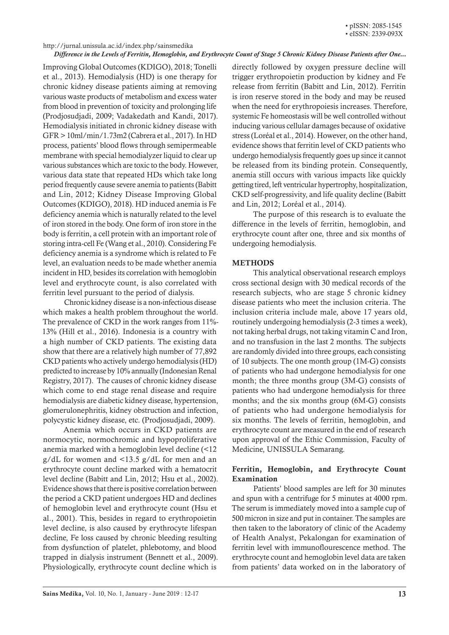#### http://jurnal.unissula.ac.id/index.php/sainsmedika

#### *Difference in the Levels of Ferritin, Hemoglobin, and Erythrocyte Count of Stage 5 Chronic Kidney Disease Patients after One...*

Improving Global Outcomes (KDIGO), 2018; Tonelli et al., 2013). Hemodialysis (HD) is one therapy for chronic kidney disease patients aiming at removing various waste products of metabolism and excess water from blood in prevention of toxicity and prolonging life (Prodjosudjadi, 2009; Vadakedath and Kandi, 2017). Hemodialysis initiated in chronic kidney disease with GFR > 10ml/min/1.73m2 (Cabrera et al., 2017). In HD process, patients' blood flows through semipermeable membrane with special hemodialyzer liquid to clear up various substances which are toxic to the body. However, various data state that repeated HDs which take long period frequently cause severe anemia to patients (Babitt and Lin, 2012; Kidney Disease Improving Global Outcomes (KDIGO), 2018). HD induced anemia is Fe deficiency anemia which is naturally related to the level of iron stored in the body. One form of iron store in the body is ferritin, a cell protein with an important role of storing intra-cell Fe (Wang et al., 2010). Considering Fe deficiency anemia is a syndrome which is related to Fe level, an evaluation needs to be made whether anemia incident in HD, besides its correlation with hemoglobin level and erythrocyte count, is also correlated with ferritin level pursuant to the period of dialysis.

Chronic kidney disease is a non-infectious disease which makes a health problem throughout the world. The prevalence of CKD in the work ranges from 11%- 13% (Hill et al., 2016). Indonesia is a country with a high number of CKD patients. The existing data show that there are a relatively high number of 77,892 CKD patients who actively undergo hemodialysis (HD) predicted to increase by 10% annually (Indonesian Renal Registry, 2017). The causes of chronic kidney disease which come to end stage renal disease and require hemodialysis are diabetic kidney disease, hypertension, glomerulonephritis, kidney obstruction and infection, polycystic kidney disease, etc. (Prodjosudjadi, 2009).

Anemia which occurs in CKD patients are normocytic, normochromic and hypoproliferative anemia marked with a hemoglobin level decline (<12 g/dL for women and <13.5 g/dL for men and an erythrocyte count decline marked with a hematocrit level decline (Babitt and Lin, 2012; Hsu et al., 2002). Evidence shows that there is positive correlation between the period a CKD patient undergoes HD and declines of hemoglobin level and erythrocyte count (Hsu et al., 2001). This, besides in regard to erythropoietin level decline, is also caused by erythrocyte lifespan decline, Fe loss caused by chronic bleeding resulting from dysfunction of platelet, phlebotomy, and blood trapped in dialysis instrument (Bennett et al., 2009). Physiologically, erythrocyte count decline which is

directly followed by oxygen pressure decline will trigger erythropoietin production by kidney and Fe release from ferritin (Babitt and Lin, 2012). Ferritin is iron reserve stored in the body and may be reused when the need for erythropoiesis increases. Therefore, systemic Fe homeostasis will be well controlled without inducing various cellular damages because of oxidative stress (Loréal et al., 2014). However, on the other hand, evidence shows that ferritin level of CKD patients who undergo hemodialysis frequently goes up since it cannot be released from its binding protein. Consequently, anemia still occurs with various impacts like quickly getting tired, left ventricular hypertrophy, hospitalization, CKD self-progressivity, and life quality decline (Babitt and Lin, 2012; Loréal et al., 2014).

The purpose of this research is to evaluate the difference in the levels of ferritin, hemoglobin, and erythrocyte count after one, three and six months of undergoing hemodialysis.

#### METHODS

This analytical observational research employs cross sectional design with 30 medical records of the research subjects, who are stage 5 chronic kidney disease patients who meet the inclusion criteria. The inclusion criteria include male, above 17 years old, routinely undergoing hemodialysis (2-3 times a week), not taking herbal drugs, not taking vitamin C and Iron, and no transfusion in the last 2 months. The subjects are randomly divided into three groups, each consisting of 10 subjects. The one month group (1M-G) consists of patients who had undergone hemodialysis for one month; the three months group (3M-G) consists of patients who had undergone hemodialysis for three months; and the six months group (6M-G) consists of patients who had undergone hemodialysis for six months. The levels of ferritin, hemoglobin, and erythrocyte count are measured in the end of research upon approval of the Ethic Commission, Faculty of Medicine, UNISSULA Semarang.

### Ferritin, Hemoglobin, and Erythrocyte Count Examination

Patients' blood samples are left for 30 minutes and spun with a centrifuge for 5 minutes at 4000 rpm. The serum is immediately moved into a sample cup of 500 micron in size and put in container. The samples are then taken to the laboratory of clinic of the Academy of Health Analyst, Pekalongan for examination of ferritin level with immunoflourescence method. The erythrocyte count and hemoglobin level data are taken from patients' data worked on in the laboratory of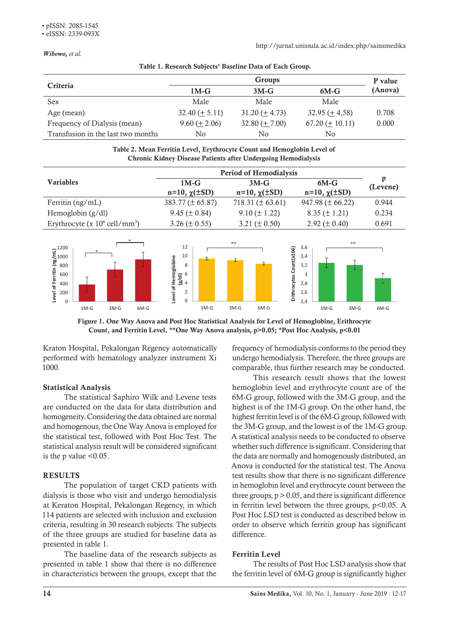*Wibowo, et al.*

| Criteria                           | Groups               |                      |                                 | P value |  |  |
|------------------------------------|----------------------|----------------------|---------------------------------|---------|--|--|
|                                    | $1M-G$               | $3M-G$               | $6M-G$                          | (Anova) |  |  |
| Sex                                | Male                 | Male                 | Male                            |         |  |  |
| Age (mean)                         | $32.40 \ (\pm 5.11)$ | $31.20 \ (\pm 4.73)$ | $32.95 \left( \pm 4.58 \right)$ | 0.708   |  |  |
| Frequency of Dialysis (mean)       | $9.60 (\pm 2.06)$    | $32.80 \ (\pm 7.00)$ | $67.20 \ (\pm 10.11)$           | 0.000   |  |  |
| Transfusion in the last two months | No                   | No                   | No                              |         |  |  |

**Table 1. Research Subjects' Baseline Data of Each Group.** Table 1. Research Subjects' Baseline Data of Each Group.

#### **Table 2. Mean Ferritin Level, Erythrocyte Count and Hemoglobin Level of Chronic Kidney Disease Patients y** Disease Patients after Undergoing Table 2. Mean Ferritin Level, Erythrocyte Count and Hemoglobin Level of **after Undergoing Hemodialysis** Chronic Kidney Disease Patients after Undergoing Hemodialysis

|                                              | <b>Period of Hemodialysis</b> |                         |                         |               |
|----------------------------------------------|-------------------------------|-------------------------|-------------------------|---------------|
| <b>Variables</b>                             | $1M-G$                        | $3M-G$                  | $6M-G$                  | p<br>(Levene) |
|                                              | $n=10$ , $\chi(\pm SD)$       | $n=10$ , $\chi(\pm SD)$ | $n=10$ , $\chi(\pm SD)$ |               |
| Ferritin $(ng/mL)$                           | $383.77 (\pm 65.87)$          | 718.31 ( $\pm$ 63.61)   | $947.98 (\pm 66.22)$    | 0.944         |
| Hemoglobin $(g/dl)$                          | $9.45 (\pm 0.84)$             | $9.10 (\pm 1.22)$       | $8.35 (\pm 1.21)$       | 0.234         |
| Erythrocyte (x $10^6$ cell/mm <sup>3</sup> ) | $3.26 (\pm 0.55)$             | 3.21 ( $\pm$ 0.50)      | 2.92 ( $\pm$ 0.40)      | 0.691         |
|                                              |                               |                         |                         |               |



Count, and Ferritin Level. \*\*One Way Anova analysis, p>0.05; \*Post Hoc Analysis, p<0.01 Figure 1. One Way Anova and Post Hoc Statistical Analysis for Level of Hemoglobine, Erithrocyte

Kraton Hospital, Pekalongan Regency automatically performed with hematology analyzer instrument Xi 1000.

# Statistical Analysis

The statistical Saphiro Wilk and Levene tests are conducted on the data for data distribution and homogeneity. Considering the data obtained are normal and homogenous, the One Way Anova is employed for the statistical test, followed with Post Hoc Test. The statistical analysis result will be considered significant is the  $p$  value  $<0.05$ .

# RESULTS

The population of target CKD patients with dialysis is those who visit and undergo hemodialysis at Keraton Hospital, Pekalongan Regency, in which 114 patients are selected with inclusion and exclusion criteria, resulting in 30 research subjects. The subjects of the three groups are studied for baseline data as presented in table 1.

The baseline data of the research subjects as presented in table 1 show that there is no difference in characteristics between the groups, except that the frequency of hemodialysis conforms to the period they undergo hemodialysis. Therefore, the three groups are comparable, thus further research may be conducted.

This research result shows that the lowest hemoglobin level and erythrocyte count are of the 6M-G group, followed with the 3M-G group, and the highest is of the 1M-G group. On the other hand, the highest ferritin level is of the 6M-G group, followed with the 3M-G group, and the lowest is of the 1M-G group. A statistical analysis needs to be conducted to observe whether such difference is significant. Considering that the data are normally and homogenously distributed, an Anova is conducted for the statistical test. The Anova test results show that there is no significant difference in hemoglobin level and erythrocyte count between the three groups,  $p > 0.05$ , and there is significant difference in ferritin level between the three groups,  $p<0.05$ . A Post Hoc LSD test is conducted as described below in order to observe which ferritin group has significant difference.

# Ferritin Level

The results of Post Hoc LSD analysis show that the ferritin level of 6M-G group is significantly higher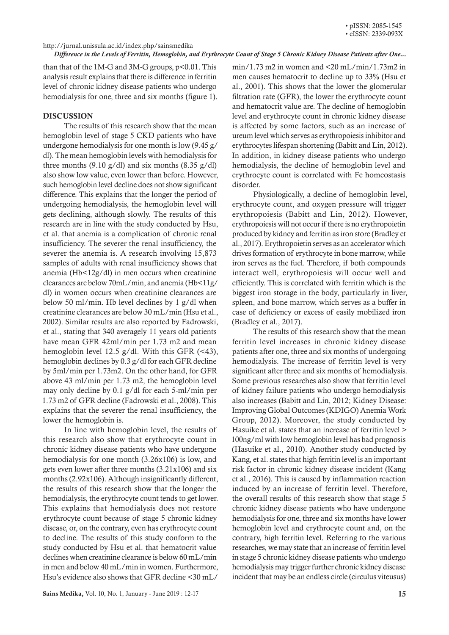#### http://jurnal.unissula.ac.id/index.php/sainsmedika

*Difference in the Levels of Ferritin, Hemoglobin, and Erythrocyte Count of Stage 5 Chronic Kidney Disease Patients after One...*

than that of the  $1M-G$  and  $3M-G$  groups,  $p<0.01$ . This analysis result explains that there is difference in ferritin level of chronic kidney disease patients who undergo hemodialysis for one, three and six months (figure 1).

### DISCUSSION

The results of this research show that the mean hemoglobin level of stage 5 CKD patients who have undergone hemodialysis for one month is low (9.45 g/ dl). The mean hemoglobin levels with hemodialysis for three months  $(9.10 \text{ g/dl})$  and six months  $(8.35 \text{ g/dl})$ also show low value, even lower than before. However, such hemoglobin level decline does not show significant difference. This explains that the longer the period of undergoing hemodialysis, the hemoglobin level will gets declining, although slowly. The results of this research are in line with the study conducted by Hsu, et al. that anemia is a complication of chronic renal insufficiency. The severer the renal insufficiency, the severer the anemia is. A research involving 15,873 samples of adults with renal insufficiency shows that anemia (Hb<12g/dl) in men occurs when creatinine clearances are below 70mL/min, and anemia (Hb<11g/ dl) in women occurs when creatinine clearances are below 50 ml/min. Hb level declines by 1 g/dl when creatinine clearances are below 30 mL/min (Hsu et al., 2002). Similar results are also reported by Fadrowski, et al., stating that 340 averagely 11 years old patients have mean GFR 42ml/min per 1.73 m2 and mean hemoglobin level 12.5 g/dl. With this GFR (<43), hemoglobin declines by 0.3 g/dl for each GFR decline by 5ml/min per 1.73m2. On the other hand, for GFR above 43 ml/min per 1.73 m2, the hemoglobin level may only decline by 0.1 g/dl for each 5-ml/min per 1.73 m2 of GFR decline (Fadrowski et al., 2008). This explains that the severer the renal insufficiency, the lower the hemoglobin is.

In line with hemoglobin level, the results of this research also show that erythrocyte count in chronic kidney disease patients who have undergone hemodialysis for one month (3.26x106) is low, and gets even lower after three months (3.21x106) and six months (2.92x106). Although insignificantly different, the results of this research show that the longer the hemodialysis, the erythrocyte count tends to get lower. This explains that hemodialysis does not restore erythrocyte count because of stage 5 chronic kidney disease, or, on the contrary, even has erythrocyte count to decline. The results of this study conform to the study conducted by Hsu et al. that hematocrit value declines when creatinine clearance is below 60 mL/min in men and below 40 mL/min in women. Furthermore, Hsu's evidence also shows that GFR decline <30 mL/

 $min/1.73$  m2 in women and  $\leq 20$  mL/min/1.73m2 in men causes hematocrit to decline up to 33% (Hsu et al., 2001). This shows that the lower the glomerular filtration rate (GFR), the lower the erythrocyte count and hematocrit value are. The decline of hemoglobin level and erythrocyte count in chronic kidney disease is affected by some factors, such as an increase of ureum level which serves as erythropoiesis inhibitor and erythrocytes lifespan shortening (Babitt and Lin, 2012). In addition, in kidney disease patients who undergo hemodialysis, the decline of hemoglobin level and erythrocyte count is correlated with Fe homeostasis disorder.

Physiologically, a decline of hemoglobin level, erythrocyte count, and oxygen pressure will trigger erythropoiesis (Babitt and Lin, 2012). However, erythropoiesis will not occur if there is no erythropoietin produced by kidney and ferritin as iron store (Bradley et al., 2017). Erythropoietin serves as an accelerator which drives formation of erythrocyte in bone marrow, while iron serves as the fuel. Therefore, if both compounds interact well, erythropoiesis will occur well and efficiently. This is correlated with ferritin which is the biggest iron storage in the body, particularly in liver, spleen, and bone marrow, which serves as a buffer in case of deficiency or excess of easily mobilized iron (Bradley et al., 2017).

The results of this research show that the mean ferritin level increases in chronic kidney disease patients after one, three and six months of undergoing hemodialysis. The increase of ferritin level is very significant after three and six months of hemodialysis. Some previous researches also show that ferritin level of kidney failure patients who undergo hemodialysis also increases (Babitt and Lin, 2012; Kidney Disease: Improving Global Outcomes (KDIGO) Anemia Work Group, 2012). Moreover, the study conducted by Hasuike et al. states that an increase of ferritin level > 100ng/ml with low hemoglobin level has bad prognosis (Hasuike et al., 2010). Another study conducted by Kang, et al. states that high ferritin level is an important risk factor in chronic kidney disease incident (Kang et al., 2016). This is caused by inflammation reaction induced by an increase of ferritin level. Therefore, the overall results of this research show that stage 5 chronic kidney disease patients who have undergone hemodialysis for one, three and six months have lower hemoglobin level and erythrocyte count and, on the contrary, high ferritin level. Referring to the various researches, we may state that an increase of ferritin level in stage 5 chronic kidney disease patients who undergo hemodialysis may trigger further chronic kidney disease incident that may be an endless circle (circulus viteusus)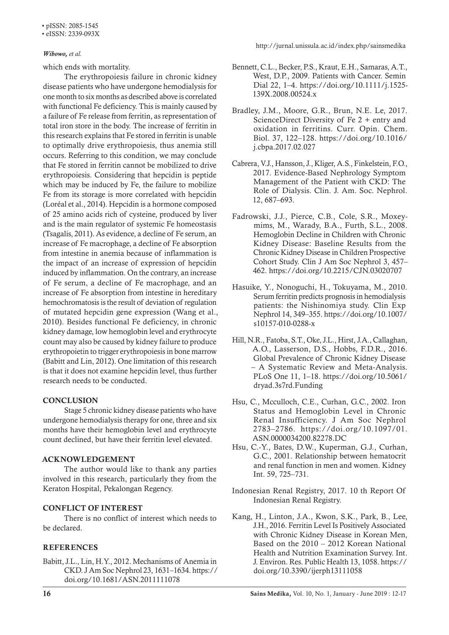#### • eISSN: 2339-093X

#### *Wibowo, et al.*

which ends with mortality.

The erythropoiesis failure in chronic kidney disease patients who have undergone hemodialysis for one month to six months as described above is correlated with functional Fe deficiency. This is mainly caused by a failure of Fe release from ferritin, as representation of total iron store in the body. The increase of ferritin in this research explains that Fe stored in ferritin is unable to optimally drive erythropoiesis, thus anemia still occurs. Referring to this condition, we may conclude that Fe stored in ferritin cannot be mobilized to drive erythropoiesis. Considering that hepcidin is peptide which may be induced by Fe, the failure to mobilize Fe from its storage is more correlated with hepcidin (Loréal et al., 2014). Hepcidin is a hormone composed of 25 amino acids rich of cysteine, produced by liver and is the main regulator of systemic Fe homeostasis (Tsagalis, 2011). As evidence, a decline of Fe serum, an increase of Fe macrophage, a decline of Fe absorption from intestine in anemia because of inflammation is the impact of an increase of expression of hepcidin induced by inflammation. On the contrary, an increase of Fe serum, a decline of Fe macrophage, and an increase of Fe absorption from intestine in hereditary hemochromatosis is the result of deviation of regulation of mutated hepcidin gene expression (Wang et al., 2010). Besides functional Fe deficiency, in chronic kidney damage, low hemoglobin level and erythrocyte count may also be caused by kidney failure to produce erythropoietin to trigger erythropoiesis in bone marrow (Babitt and Lin, 2012). One limitation of this research is that it does not examine hepcidin level, thus further research needs to be conducted.

# **CONCLUSION**

Stage 5 chronic kidney disease patients who have undergone hemodialysis therapy for one, three and six months have their hemoglobin level and erythrocyte count declined, but have their ferritin level elevated.

#### ACKNOWLEDGEMENT

The author would like to thank any parties involved in this research, particularly they from the Keraton Hospital, Pekalongan Regency.

# CONFLICT OF INTEREST

There is no conflict of interest which needs to be declared.

#### REFERENCES

Babitt, J.L., Lin, H.Y., 2012. Mechanisms of Anemia in CKD. J Am Soc Nephrol 23, 1631–1634. https:// doi.org/10.1681/ASN.2011111078

http://jurnal.unissula.ac.id/index.php/sainsmedika

- Bennett, C.L., Becker, P.S., Kraut, E.H., Samaras, A.T., West, D.P., 2009. Patients with Cancer. Semin Dial 22, 1–4. https://doi.org/10.1111/j.1525- 139X.2008.00524.x
- Bradley, J.M., Moore, G.R., Brun, N.E. Le, 2017. ScienceDirect Diversity of Fe 2 + entry and oxidation in ferritins. Curr. Opin. Chem. Biol. 37, 122–128. https://doi.org/10.1016/ j.cbpa.2017.02.027
- Cabrera, V.J., Hansson, J., Kliger, A.S., Finkelstein, F.O., 2017. Evidence-Based Nephrology Symptom Management of the Patient with CKD: The Role of Dialysis. Clin. J. Am. Soc. Nephrol. 12, 687–693.
- Fadrowski, J.J., Pierce, C.B., Cole, S.R., Moxeymims, M., Warady, B.A., Furth, S.L., 2008. Hemoglobin Decline in Children with Chronic Kidney Disease: Baseline Results from the Chronic Kidney Disease in Children Prospective Cohort Study. Clin J Am Soc Nephrol 3, 457– 462. https://doi.org/10.2215/CJN.03020707
- Hasuike, Y., Nonoguchi, H., Tokuyama, M., 2010. Serum ferritin predicts prognosis in hemodialysis patients: the Nishinomiya study. Clin Exp Nephrol 14, 349–355. https://doi.org/10.1007/ s10157-010-0288-x
- Hill, N.R., Fatoba, S.T., Oke, J.L., Hirst, J.A., Callaghan, A.O., Lasserson, D.S., Hobbs, F.D.R., 2016. Global Prevalence of Chronic Kidney Disease – A Systematic Review and Meta-Analysis. PLoS One 11, 1–18. https://doi.org/10.5061/ dryad.3s7rd.Funding
- Hsu, C., Mcculloch, C.E., Curhan, G.C., 2002. Iron Status and Hemoglobin Level in Chronic Renal Insufficiency. J Am Soc Nephrol 2783–2786. https://doi.org/10.1097/01. ASN.0000034200.82278.DC
- Hsu, C.-Y., Bates, D.W., Kuperman, G.J., Curhan, G.C., 2001. Relationship between hematocrit and renal function in men and women. Kidney Int. 59, 725–731.
- Indonesian Renal Registry, 2017. 10 th Report Of Indonesian Renal Registry.
- Kang, H., Linton, J.A., Kwon, S.K., Park, B., Lee, J.H., 2016. Ferritin Level Is Positively Associated with Chronic Kidney Disease in Korean Men, Based on the 2010 – 2012 Korean National Health and Nutrition Examination Survey. Int. J. Environ. Res. Public Health 13, 1058. https:// doi.org/10.3390/ijerph13111058